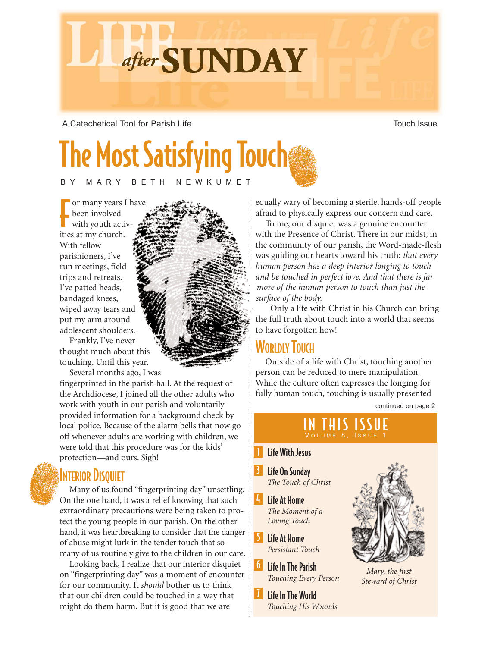A Catechetical Tool for Parish Life Town Town Town Touch Issue

# **The Most Satisfying Touch**

after SUNDAY

BY MARY BETH NEWKUMET

For many years<br>been involved<br>with youth activities at my church. or many years I have been involved with youth activ-With fellow parishioners, I've run meetings, field trips and retreats. I've patted heads, bandaged knees, wiped away tears and put my arm around adolescent shoulders.

Frankly, I've never thought much about this touching. Until this year.

Several months ago, I was

fingerprinted in the parish hall. At the request of the Archdiocese, I joined all the other adults who work with youth in our parish and voluntarily provided information for a background check by local police. Because of the alarm bells that now go off whenever adults are working with children, we were told that this procedure was for the kids' protection—and ours. Sigh!

#### **INTERIOR DISQUIET**

Many of us found "fingerprinting day" unsettling. On the one hand, it was a relief knowing that such extraordinary precautions were being taken to protect the young people in our parish. On the other hand, it was heartbreaking to consider that the danger of abuse might lurk in the tender touch that so many of us routinely give to the children in our care.

Looking back, I realize that our interior disquiet on "fingerprinting day" was a moment of encounter for our community. It *should* bother us to think that our children could be touched in a way that might do them harm. But it is good that we are

equally wary of becoming a sterile, hands-off people afraid to physically express our concern and care.

To me, our disquiet was a genuine encounter with the Presence of Christ. There in our midst, in the community of our parish, the Word-made-flesh was guiding our hearts toward his truth: *that every human person has a deep interior longing to touch and be touched in perfect love. And that there is far more of the human person to touch than just the surface of the body.*

Only a life with Christ in his Church can bring the full truth about touch into a world that seems to have forgotten how!

## **WORLDLY TOUCH**

Outside of a life with Christ, touching another person can be reduced to mere manipulation. While the culture often expresses the longing for fully human touch, touching is usually presented

continued on page 2

# IN THIS ISSUE

#### **I** Life With Jesus

- 3 Life On Sunday *The Touch of Christ*
- $|I_1|$ Life At Home *The Moment of a Loving Touch*
- 5 Life At Home *Persistant Touch*
- **6** Life In The Parish *Touching Every Person*
- 7 Life In The World *Touching His Wounds*



*Mary, the first Steward of Christ*

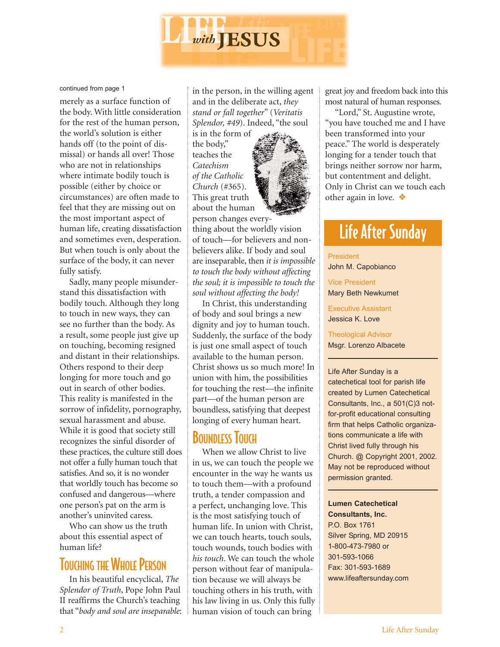

#### continued from page 1

merely as a surface function of the body. With little consideration for the rest of the human person, the world's solution is either hands off (to the point of dismissal) or hands all over! Those who are not in relationships where intimate bodily touch is possible (either by choice or circumstances) are often made to feel that they are missing out on the most important aspect of human life, creating dissatisfaction and sometimes even, desperation. But when touch is only about the surface of the body, it can never fully satisfy.

Sadly, many people misunderstand this dissatisfaction with bodily touch. Although they long to touch in new ways, they can see no further than the body. As a result, some people just give up on touching, becoming resigned and distant in their relationships. Others respond to their deep longing for more touch and go out in search of other bodies. This reality is manifested in the sorrow of infidelity, pornography, sexual harassment and abuse. While it is good that society still recognizes the sinful disorder of these practices, the culture still does not offer a fully human touch that satisfies. And so, it is no wonder that worldly touch has become so confused and dangerous—where one person's pat on the arm is another's uninvited caress.

Who can show us the truth about this essential aspect of human life?

# **TOUCHING THE WHOLE PERSON**

In his beautiful encyclical, *The Splendor of Truth*, Pope John Paul II reaffirms the Church's teaching that "*body and soul are inseparable*: in the person, in the willing agent and in the deliberate act, *they stand or fall together*" (*Veritatis Splendor, #49*). Indeed, "the soul

is in the form of the body," teaches the *Catechism of the Catholic Church* (#365). This great truth about the human



person changes everything about the worldly vision of touch—for believers and nonbelievers alike. If body and soul are inseparable, then *it is impossible to touch the body without affecting the soul; it is impossible to touch the soul without affecting the body!* 

In Christ, this understanding of body and soul brings a new dignity and joy to human touch. Suddenly, the surface of the body is just one small aspect of touch available to the human person. Christ shows us so much more! In union with him, the possibilities for touching the rest—the infinite part—of the human person are boundless, satisfying that deepest longing of every human heart.

### **BOUNDLESS TOUCH**

When we allow Christ to live in us, we can touch the people we encounter in the way he wants us to touch them—with a profound truth, a tender compassion and a perfect, unchanging love. This is the most satisfying touch of human life. In union with Christ, we can touch hearts, touch souls, touch wounds, touch bodies with *his touch*. We can touch the whole person without fear of manipulation because we will always be touching others in his truth, with his law living in us. Only this fully human vision of touch can bring

great joy and freedom back into this most natural of human responses.

"Lord," St. Augustine wrote, "you have touched me and I have been transformed into your peace." The world is desperately longing for a tender touch that brings neither sorrow nor harm, but contentment and delight. Only in Christ can we touch each other again in love. ❖

# Life After Sunday

President

John M. Capobianco

Vice President Mary Beth Newkumet

Executive Assistant Jessica K. Love

Theological Advisor Msgr. Lorenzo Albacete

Life After Sunday is a catechetical tool for parish life created by Lumen Catechetical Consultants, Inc., a 501(C)3 notfor-profit educational consulting firm that helps Catholic organizations communicate a life with Christ lived fully through his Church. @ Copyright 2001, 2002. May not be reproduced without permission granted.

**Lumen Catechetical Consultants, Inc.**

P.O. Box 1761 Silver Spring, MD 20915 1-800-473-7980 or 301-593-1066 Fax: 301-593-1689 www.lifeaftersunday.com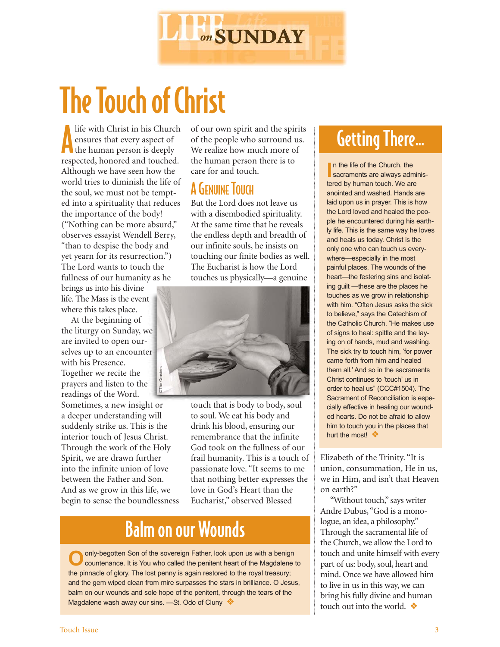

# The Touch of Christ

Ife with Christ in his Church<br>
ensures that every aspect of<br>
the human person is deeply life with Christ in his Church ensures that every aspect of respected, honored and touched. Although we have seen how the world tries to diminish the life of the soul, we must not be tempted into a spirituality that reduces the importance of the body! ("Nothing can be more absurd," observes essayist Wendell Berry, "than to despise the body and yet yearn for its resurrection.") The Lord wants to touch the fullness of our humanity as he

brings us into his divine life. The Mass is the event where this takes place.

At the beginning of the liturgy on Sunday, we are invited to open ourselves up to an encounter with his Presence. Together we recite the prayers and listen to the readings of the Word.

Sometimes, a new insight or a deeper understanding will suddenly strike us. This is the interior touch of Jesus Christ. Through the work of the Holy Spirit, we are drawn further into the infinite union of love between the Father and Son. And as we grow in this life, we begin to sense the boundlessness beyether we recite the<br>adings of the Word.<br>
adings of the Word.<br>
metimes, a new insight or<br>
deeper understanding will<br>
deeper understanding will<br>
to soul. We deeper understanding will<br>
to soul. We deeper understanding wil

of our own spirit and the spirits of the people who surround us. We realize how much more of the human person there is to care for and touch.

## **A GENUINE TOUCH**

But the Lord does not leave us with a disembodied spirituality. At the same time that he reveals the endless depth and breadth of our infinite souls, he insists on touching our finite bodies as well. The Eucharist is how the Lord touches us physically—a genuine



touch that is body to body, soul to soul. We eat his body and drink his blood, ensuring our remembrance that the infinite God took on the fullness of our frail humanity. This is a touch of passionate love. "It seems to me that nothing better expresses the love in God's Heart than the Eucharist," observed Blessed

# Balm on our Wounds

Oonly-begotten Son of the sovereign Father, look upon us with a benign countenance. It is You who called the penitent heart of the Magdalene to the pinnacle of glory. The lost penny is again restored to the royal treasury; and the gem wiped clean from mire surpasses the stars in brilliance. O Jesus, balm on our wounds and sole hope of the penitent, through the tears of the

# Getting There...

**I** In the life of the Church, the sacraments are always adminis-In the life of the Church, the tered by human touch. We are anointed and washed. Hands are laid upon us in prayer. This is how the Lord loved and healed the people he encountered during his earthly life. This is the same way he loves and heals us today. Christ is the only one who can touch us everywhere—especially in the most painful places. The wounds of the heart—the festering sins and isolating guilt —these are the places he touches as we grow in relationship with him. "Often Jesus asks the sick to believe," says the Catechism of the Catholic Church. "He makes use of signs to heal: spittle and the laying on of hands, mud and washing. The sick try to touch him, 'for power came forth from him and healed them all.' And so in the sacraments Christ continues to 'touch' us in order to heal us" (CCC#1504). The Sacrament of Reconciliation is especially effective in healing our wounded hearts. Do not be afraid to allow him to touch you in the places that hurt the most! ❖

Elizabeth of the Trinity. "It is union, consummation, He in us, we in Him, and isn't that Heaven on earth?"

"Without touch," says writer Andre Dubus, "God is a monologue, an idea, a philosophy." Through the sacramental life of the Church, we allow the Lord to touch and unite himself with every part of us: body, soul, heart and mind. Once we have allowed him to live in us in this way, we can bring his fully divine and human touch out into the world. ❖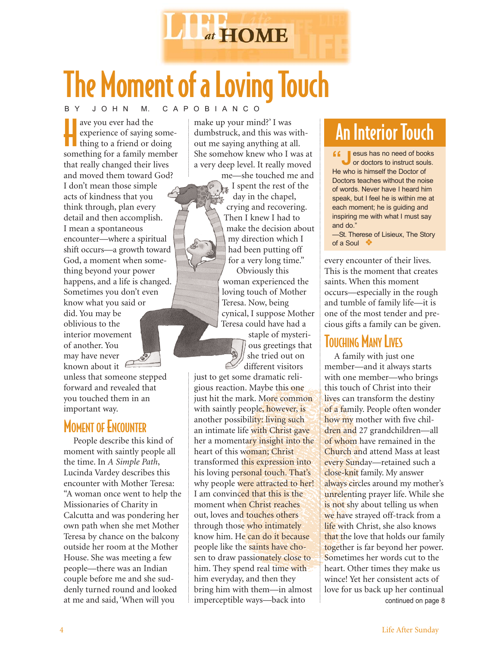

# B Y J O H N M. C A P O B I A N C O The Moment of a Loving Touch

ave you ever had the<br>
experience of saying some-<br>
thing to a friend or doing<br>
something for a family member ave you ever had the experience of saying something to a friend or doing that really changed their lives and moved them toward God? I don't mean those simple acts of kindness that you think through, plan every detail and then accomplish. I mean a spontaneous encounter—where a spiritual shift occurs—a growth toward God, a moment when something beyond your power happens, and a life is changed. Sometimes you don't even know what you said or did. You may be oblivious to the interior movement of another. You may have never known about it

unless that someone stepped forward and revealed that you touched them in an important way.

## **MOMENT OF ENCOUNTER**

People describe this kind of moment with saintly people all the time. In *A Simple Path*, Lucinda Vardey describes this encounter with Mother Teresa: "A woman once went to help the Missionaries of Charity in Calcutta and was pondering her own path when she met Mother Teresa by chance on the balcony outside her room at the Mother House. She was meeting a few people—there was an Indian couple before me and she suddenly turned round and looked at me and said, 'When will you

make up your mind?' I was dumbstruck, and this was without me saying anything at all. She somehow knew who I was at a very deep level. It really moved

me—she touched me and I spent the rest of the day in the chapel, crying and recovering. Then I knew I had to make the decision about my direction which I had been putting off for a very long time."

Obviously this woman experienced the loving touch of Mother Teresa. Now, being cynical, I suppose Mother Teresa could have had a

staple of mysterious greetings that she tried out on different visitors

just to get some dramatic religious reaction. Maybe this one just hit the mark. More common with saintly people, however, is another possibility: living such an intimate life with Christ gave her a momentary insight into the heart of this woman; Christ transformed this expression into his loving personal touch. That's why people were attracted to her! I am convinced that this is the moment when Christ reaches out, loves and touches others through those who intimately know him. He can do it because people like the saints have chosen to draw passionately close to him. They spend real time with him everyday, and then they bring him with them—in almost imperceptible ways—back into

# An Interior Touch

**f i** esus has no need of books or doctors to instruct souls. He who is himself the Doctor of Doctors teaches without the noise of words. Never have I heard him speak, but I feel he is within me at each moment; he is guiding and inspiring me with what I must say and do."

—St. Therese of Lisieux, The Story of a Soul ❖

every encounter of their lives. This is the moment that creates saints. When this moment occurs—especially in the rough and tumble of family life—it is one of the most tender and precious gifts a family can be given.

### **TOUCHING MANY LIVES**

A family with just one member—and it always starts with one member—who brings this touch of Christ into their lives can transform the destiny of a family. People often wonder how my mother with five children and 27 grandchildren—all of whom have remained in the Church and attend Mass at least every Sunday—retained such a close-knit family. My answer always circles around my mother's unrelenting prayer life. While she is not shy about telling us when we have strayed off-track from a life with Christ, she also knows that the love that holds our family together is far beyond her power. Sometimes her words cut to the heart. Other times they make us wince! Yet her consistent acts of love for us back up her continual continued on page 8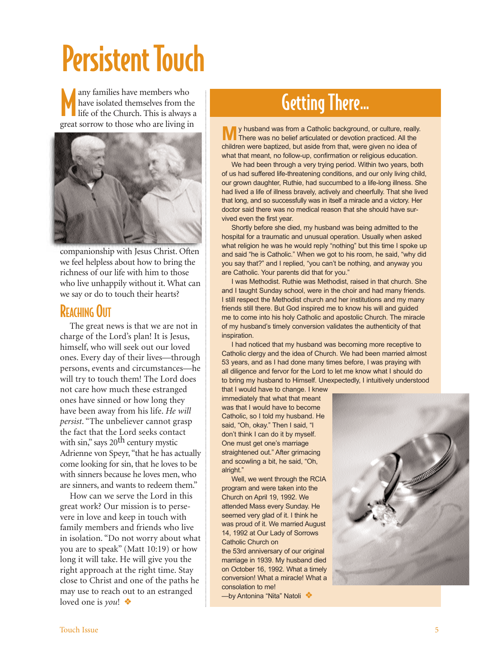# Persistent Touch

M any families have members who have isolated themselves from the life of the Church. This is always a great sorrow to those who are living in



companionship with Jesus Christ. Often we feel helpless about how to bring the richness of our life with him to those who live unhappily without it. What can we say or do to touch their hearts?

## REACHING OUT

The great news is that we are not in charge of the Lord's plan! It is Jesus, himself, who will seek out our loved ones. Every day of their lives—through persons, events and circumstances—he will try to touch them! The Lord does not care how much these estranged ones have sinned or how long they have been away from his life. *He will persist*. "The unbeliever cannot grasp the fact that the Lord seeks contact with sin," says  $20^{th}$  century mystic Adrienne von Speyr, "that he has actually come looking for sin, that he loves to be with sinners because he loves men, who are sinners, and wants to redeem them."

How can we serve the Lord in this great work? Our mission is to persevere in love and keep in touch with family members and friends who live in isolation. "Do not worry about what you are to speak" (Matt 10:19) or how long it will take. He will give you the right approach at the right time. Stay close to Christ and one of the paths he may use to reach out to an estranged loved one is *you*! ❖

# Getting There...

**M**y husband was from a Catholic background, or culture, really. There was no belief articulated or devotion practiced. All the children were baptized, but aside from that, were given no idea of what that meant, no follow-up, confirmation or religious education.

We had been through a very trying period. Within two years, both of us had suffered life-threatening conditions, and our only living child, our grown daughter, Ruthie, had succumbed to a life-long illness. She had lived a life of illness bravely, actively and cheerfully. That she lived that long, and so successfully was in itself a miracle and a victory. Her doctor said there was no medical reason that she should have survived even the first year.

Shortly before she died, my husband was being admitted to the hospital for a traumatic and unusual operation. Usually when asked what religion he was he would reply "nothing" but this time I spoke up and said "he is Catholic." When we got to his room, he said, "why did you say that?" and I replied, "you can't be nothing, and anyway you are Catholic. Your parents did that for you."

I was Methodist. Ruthie was Methodist, raised in that church. She and I taught Sunday school, were in the choir and had many friends. I still respect the Methodist church and her institutions and my many friends still there. But God inspired me to know his will and guided me to come into his holy Catholic and apostolic Church. The miracle of my husband's timely conversion validates the authenticity of that inspiration.

I had noticed that my husband was becoming more receptive to Catholic clergy and the idea of Church. We had been married almost 53 years, and as I had done many times before, I was praying with all diligence and fervor for the Lord to let me know what I should do to bring my husband to Himself. Unexpectedly, I intuitively understood

that I would have to change. I knew immediately that what that meant was that I would have to become Catholic, so I told my husband. He said, "Oh, okay." Then I said, "I don't think I can do it by myself. One must get one's marriage straightened out." After grimacing and scowling a bit, he said, "Oh, alright."

Well, we went through the RCIA program and were taken into the Church on April 19, 1992. We attended Mass every Sunday. He seemed very glad of it. I think he was proud of it. We married August 14, 1992 at Our Lady of Sorrows Catholic Church on

the 53rd anniversary of our original marriage in 1939. My husband died on October 16, 1992. What a timely conversion! What a miracle! What a consolation to me!

—by Antonina "Nita" Natoli ❖

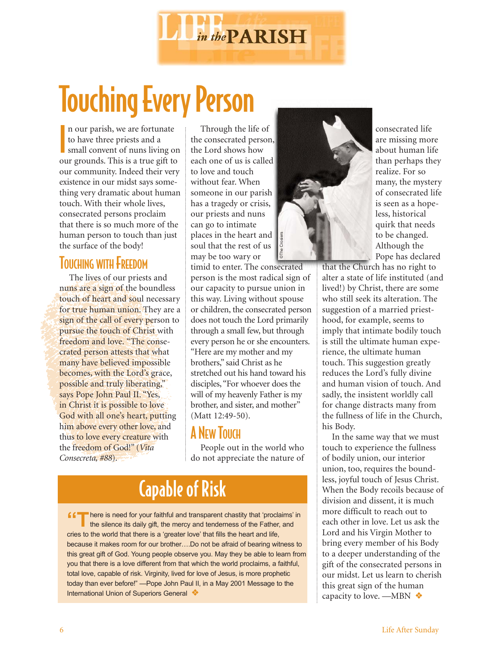

# Touching Every Person

**I** n our parish, we are fortunate to have three priests and a small convent of nuns living on our grounds. This is a true gift to our community. Indeed their very existence in our midst says something very dramatic about human touch. With their whole lives, consecrated persons proclaim that there is so much more of the human person to touch than just the surface of the body!

#### TOUCHING WITH FREEDOM

The lives of our priests and nuns are a sign of the boundless touch of heart and soul necessary for true human union. They are a sign of the call of every person to pursue the touch of Christ with freedom and love. "The consecrated person attests that what many have believed impossible becomes, with the Lord's grace, possible and truly liberating," says Pope John Paul II. "Yes, in Christ it is possible to love God with all one's heart, putting him above every other love, and thus to love every creature with the freedom of God!" (*Vita Consecreta, #88*).

Through the life of the consecrated person, the Lord shows how each one of us is called to love and touch without fear. When someone in our parish has a tragedy or crisis, our priests and nuns can go to intimate places in the heart and soul that the rest of us may be too wary or

timid to enter. The consecrated person is the most radical sign of our capacity to pursue union in this way. Living without spouse or children, the consecrated person does not touch the Lord primarily through a small few, but through every person he or she encounters. "Here are my mother and my brothers," said Christ as he stretched out his hand toward his disciples, "For whoever does the will of my heavenly Father is my brother, and sister, and mother" (Matt 12:49-50).

#### A NEW TOUCH

People out in the world who do not appreciate the nature of

# Capable of Risk

**f f** There is need for your faithful and transparent chastity that 'proclaims' in the silence its daily gift, the mercy and tenderness of the Father, and cries to the world that there is a 'greater love' that fills the heart and life, because it makes room for our brother….Do not be afraid of bearing witness to this great gift of God. Young people observe you. May they be able to learn from you that there is a love different from that which the world proclaims, a faithful, total love, capable of risk. Virginity, lived for love of Jesus, is more prophetic today than ever before!" —Pope John Paul II, in a May 2001 Message to the International Union of Superiors General ❖



consecrated life are missing more about human life than perhaps they realize. For so many, the mystery of consecrated life is seen as a hopeless, historical quirk that needs to be changed. Although the Pope has declared

that the Church has no right to alter a state of life instituted (and lived!) by Christ, there are some who still seek its alteration. The suggestion of a married priesthood, for example, seems to imply that intimate bodily touch is still the ultimate human experience, the ultimate human touch. This suggestion greatly reduces the Lord's fully divine and human vision of touch. And sadly, the insistent worldly call for change distracts many from the fullness of life in the Church, his Body.

In the same way that we must touch to experience the fullness of bodily union, our interior union, too, requires the boundless, joyful touch of Jesus Christ. When the Body recoils because of division and dissent, it is much more difficult to reach out to each other in love. Let us ask the Lord and his Virgin Mother to bring every member of his Body to a deeper understanding of the gift of the consecrated persons in our midst. Let us learn to cherish this great sign of the human capacity to love. —MBN ❖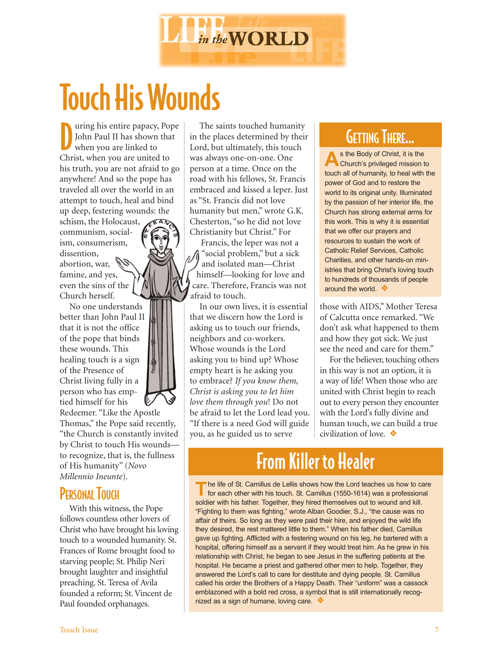

# Touch His Wounds

D uring his entire papacy, Pope John Paul II has shown that when you are linked to Christ, when you are united to his truth, you are not afraid to go anywhere! And so the pope has traveled all over the world in an attempt to touch, heal and bind up deep, festering wounds: the

schism, the Holocaust, communism, socialism, consumerism, dissention, abortion, war, famine, and yes,

even the sins of the Church herself. No one understands

better than John Paul II that it is not the office of the pope that binds these wounds. This healing touch is a sign of the Presence of Christ living fully in a person who has emptied himself for his

Redeemer. "Like the Apostle Thomas," the Pope said recently, "the Church is constantly invited by Christ to touch His wounds to recognize, that is, the fullness of His humanity" (*Novo Millennio Ineunte*).

### **PERSONAL TOUCH**

With this witness, the Pope follows countless other lovers of Christ who have brought his loving touch to a wounded humanity. St. Frances of Rome brought food to starving people; St. Philip Neri brought laughter and insightful preaching. St. Teresa of Avila founded a reform; St. Vincent de Paul founded orphanages.

The saints touched humanity in the places determined by their Lord, but ultimately, this touch was always one-on-one. One person at a time. Once on the road with his fellows, St. Francis embraced and kissed a leper. Just as "St. Francis did not love humanity but men," wrote G.K. Chesterton, "so he did not love Christianity but Christ." For

Francis, the leper was not a  $\mathcal{M}$  "social problem," but a sick and isolated man—Christ himself—looking for love and care. Therefore, Francis was not afraid to touch.

In our own lives, it is essential that we discern how the Lord is asking us to touch our friends, neighbors and co-workers. Whose wounds is the Lord asking you to bind up? Whose empty heart is he asking you to embrace? *If you know them, Christ is asking you to let him love them through you*! Do not be afraid to let the Lord lead you. "If there is a need God will guide you, as he guided us to serve

# GETTING THERE...

**A**s the Body of Christ, it is the Church's privileged mission to touch all of humanity, to heal with the power of God and to restore the world to its original unity. Illuminated by the passion of her interior life, the Church has strong external arms for this work. This is why it is essential that we offer our prayers and resources to sustain the work of Catholic Relief Services, Catholic Charities, and other hands-on ministries that bring Christ's loving touch to hundreds of thousands of people around the world. ❖

those with AIDS," Mother Teresa of Calcutta once remarked. "We don't ask what happened to them and how they got sick. We just see the need and care for them."

For the believer, touching others in this way is not an option, it is a way of life! When those who are united with Christ begin to reach out to every person they encounter with the Lord's fully divine and human touch, we can build a true civilization of love. ❖

# From Killer to Healer

The life of St. Camillus de Lellis shows how the Lord teaches us how to care<br>for each other with his touch. St. Camillus (1550-1614) was a professional soldier with his father. Together, they hired themselves out to wound and kill. "Fighting to them was fighting," wrote Alban Goodier, S.J., "the cause was no affair of theirs. So long as they were paid their hire, and enjoyed the wild life they desired, the rest mattered little to them." When his father died, Camillus gave up fighting. Afflicted with a festering wound on his leg, he bartered with a hospital, offering himself as a servant if they would treat him. As he grew in his relationship with Christ, he began to see Jesus in the suffering patients at the hospital. He became a priest and gathered other men to help. Together, they answered the Lord's call to care for destitute and dying people. St. Camillus called his order the Brothers of a Happy Death. Their "uniform" was a cassock emblazoned with a bold red cross, a symbol that is still internationally recognized as a sign of humane, loving care. ❖